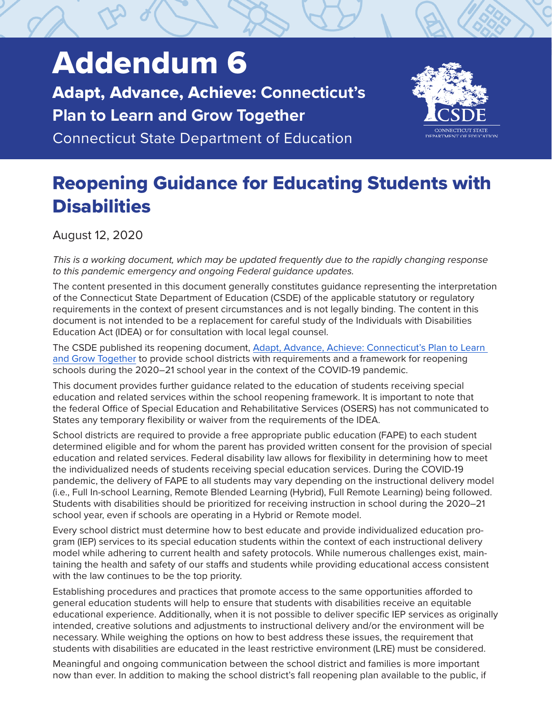# Addendum 6

Adapt, Advance, Achieve: **Connecticut's Plan to Learn and Grow Together**

Connecticut State Department of Education



# Reopening Guidance for Educating Students with **Disabilities**

August 12, 2020

*This is a working document, which may be updated frequently due to the rapidly changing response to this pandemic emergency and ongoing Federal guidance updates.*

The content presented in this document generally constitutes guidance representing the interpretation of the Connecticut State Department of Education (CSDE) of the applicable statutory or regulatory requirements in the context of present circumstances and is not legally binding. The content in this document is not intended to be a replacement for careful study of the Individuals with Disabilities Education Act (IDEA) or for consultation with local legal counsel.

The CSDE published its reopening document, [Adapt, Advance, Achieve: Connecticut's Plan to Learn](https://portal.ct.gov/-/media/SDE/COVID-19/CTReopeningSchools.pdf)  [and Grow Together](https://portal.ct.gov/-/media/SDE/COVID-19/CTReopeningSchools.pdf) to provide school districts with requirements and a framework for reopening schools during the 2020–21 school year in the context of the COVID-19 pandemic.

This document provides further guidance related to the education of students receiving special education and related services within the school reopening framework. It is important to note that the federal Office of Special Education and Rehabilitative Services (OSERS) has not communicated to States any temporary flexibility or waiver from the requirements of the IDEA.

School districts are required to provide a free appropriate public education (FAPE) to each student determined eligible and for whom the parent has provided written consent for the provision of special education and related services. Federal disability law allows for flexibility in determining how to meet the individualized needs of students receiving special education services. During the COVID-19 pandemic, the delivery of FAPE to all students may vary depending on the instructional delivery model (i.e., Full In-school Learning, Remote Blended Learning (Hybrid), Full Remote Learning) being followed. Students with disabilities should be prioritized for receiving instruction in school during the 2020–21 school year, even if schools are operating in a Hybrid or Remote model.

Every school district must determine how to best educate and provide individualized education program (IEP) services to its special education students within the context of each instructional delivery model while adhering to current health and safety protocols. While numerous challenges exist, maintaining the health and safety of our staffs and students while providing educational access consistent with the law continues to be the top priority.

Establishing procedures and practices that promote access to the same opportunities afforded to general education students will help to ensure that students with disabilities receive an equitable educational experience. Additionally, when it is not possible to deliver specific IEP services as originally intended, creative solutions and adjustments to instructional delivery and/or the environment will be necessary. While weighing the options on how to best address these issues, the requirement that students with disabilities are educated in the least restrictive environment (LRE) must be considered.

Meaningful and ongoing communication between the school district and families is more important now than ever. In addition to making the school district's fall reopening plan available to the public, if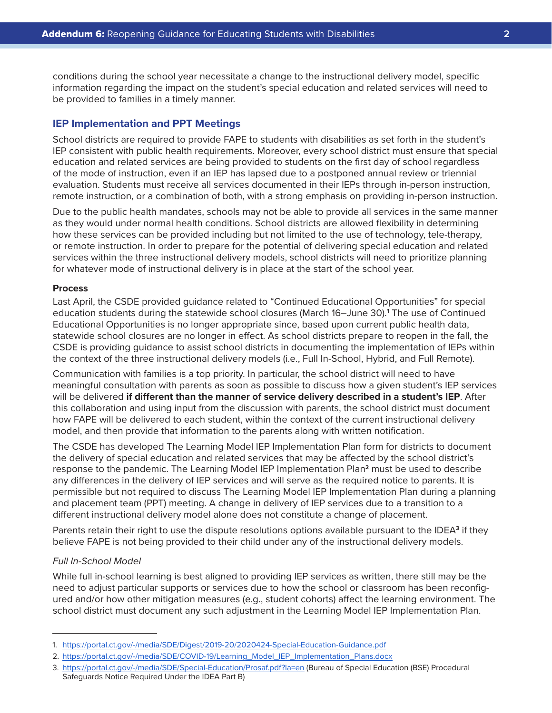conditions during the school year necessitate a change to the instructional delivery model, specific information regarding the impact on the student's special education and related services will need to be provided to families in a timely manner.

# **IEP Implementation and PPT Meetings**

School districts are required to provide FAPE to students with disabilities as set forth in the student's IEP consistent with public health requirements. Moreover, every school district must ensure that special education and related services are being provided to students on the first day of school regardless of the mode of instruction, even if an IEP has lapsed due to a postponed annual review or triennial evaluation. Students must receive all services documented in their IEPs through in-person instruction, remote instruction, or a combination of both, with a strong emphasis on providing in-person instruction.

Due to the public health mandates, schools may not be able to provide all services in the same manner as they would under normal health conditions. School districts are allowed flexibility in determining how these services can be provided including but not limited to the use of technology, tele-therapy, or remote instruction. In order to prepare for the potential of delivering special education and related services within the three instructional delivery models, school districts will need to prioritize planning for whatever mode of instructional delivery is in place at the start of the school year.

#### **Process**

Last April, the CSDE provided guidance related to "Continued Educational Opportunities" for special education students during the statewide school closures (March 16–June 30).**<sup>1</sup>** The use of Continued Educational Opportunities is no longer appropriate since, based upon current public health data, statewide school closures are no longer in effect. As school districts prepare to reopen in the fall, the CSDE is providing guidance to assist school districts in documenting the implementation of IEPs within the context of the three instructional delivery models (i.e., Full In-School, Hybrid, and Full Remote).

Communication with families is a top priority. In particular, the school district will need to have meaningful consultation with parents as soon as possible to discuss how a given student's IEP services will be delivered **if different than the manner of service delivery described in a student's IEP**. After this collaboration and using input from the discussion with parents, the school district must document how FAPE will be delivered to each student, within the context of the current instructional delivery model, and then provide that information to the parents along with written notification.

The CSDE has developed The Learning Model IEP Implementation Plan form for districts to document the delivery of special education and related services that may be affected by the school district's response to the pandemic. The Learning Model IEP Implementation Plan**2** must be used to describe any differences in the delivery of IEP services and will serve as the required notice to parents. It is permissible but not required to discuss The Learning Model IEP Implementation Plan during a planning and placement team (PPT) meeting. A change in delivery of IEP services due to a transition to a different instructional delivery model alone does not constitute a change of placement.

Parents retain their right to use the dispute resolutions options available pursuant to the IDEA**3** if they believe FAPE is not being provided to their child under any of the instructional delivery models.

# *Full In-School Model*

While full in-school learning is best aligned to providing IEP services as written, there still may be the need to adjust particular supports or services due to how the school or classroom has been reconfigured and/or how other mitigation measures (e.g., student cohorts) affect the learning environment. The school district must document any such adjustment in the Learning Model IEP Implementation Plan.

<sup>1.</sup> [https://portal.ct.gov/-/media/SDE/Digest/2019-20/2020424-Special-Education-Guidance.pdf](https://portal.ct.gov/-/media/SDE/Digest/2019-20/2020424-Special-Education-Guidance.pdf )

<sup>2.</sup> https://portal.ct.gov/-/media/SDE/COVID-19/Learning\_Model\_IEP\_Implementation\_Plans.docx

<sup>3.</sup> [https://portal.ct.gov/-/media/SDE/Special-Education/Prosaf.pdf?la=en]( https://portal.ct.gov/-/media/SDE/Special-Education/Prosaf.pdf?la=en) (Bureau of Special Education (BSE) Procedural Safeguards Notice Required Under the IDEA Part B)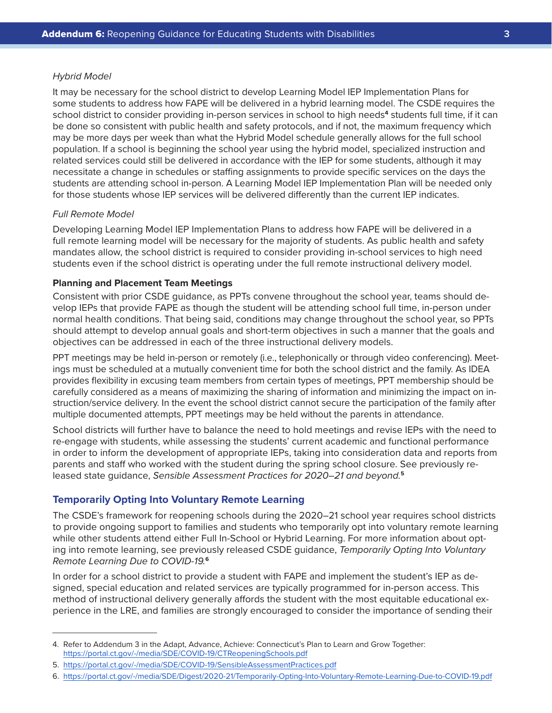#### *Hybrid Model*

It may be necessary for the school district to develop Learning Model IEP Implementation Plans for some students to address how FAPE will be delivered in a hybrid learning model. The CSDE requires the school district to consider providing in-person services in school to high needs**<sup>4</sup>** students full time, if it can be done so consistent with public health and safety protocols, and if not, the maximum frequency which may be more days per week than what the Hybrid Model schedule generally allows for the full school population. If a school is beginning the school year using the hybrid model, specialized instruction and related services could still be delivered in accordance with the IEP for some students, although it may necessitate a change in schedules or staffing assignments to provide specific services on the days the students are attending school in-person. A Learning Model IEP Implementation Plan will be needed only for those students whose IEP services will be delivered differently than the current IEP indicates.

#### *Full Remote Model*

Developing Learning Model IEP Implementation Plans to address how FAPE will be delivered in a full remote learning model will be necessary for the majority of students. As public health and safety mandates allow, the school district is required to consider providing in-school services to high need students even if the school district is operating under the full remote instructional delivery model.

# **Planning and Placement Team Meetings**

Consistent with prior CSDE guidance, as PPTs convene throughout the school year, teams should develop IEPs that provide FAPE as though the student will be attending school full time, in-person under normal health conditions. That being said, conditions may change throughout the school year, so PPTs should attempt to develop annual goals and short-term objectives in such a manner that the goals and objectives can be addressed in each of the three instructional delivery models.

PPT meetings may be held in-person or remotely (i.e., telephonically or through video conferencing). Meetings must be scheduled at a mutually convenient time for both the school district and the family. As IDEA provides flexibility in excusing team members from certain types of meetings, PPT membership should be carefully considered as a means of maximizing the sharing of information and minimizing the impact on instruction/service delivery. In the event the school district cannot secure the participation of the family after multiple documented attempts, PPT meetings may be held without the parents in attendance.

School districts will further have to balance the need to hold meetings and revise IEPs with the need to re-engage with students, while assessing the students' current academic and functional performance in order to inform the development of appropriate IEPs, taking into consideration data and reports from parents and staff who worked with the student during the spring school closure. See previously released state guidance, *Sensible Assessment Practices for 2020–21 and beyond.***<sup>5</sup>**

# **Temporarily Opting Into Voluntary Remote Learning**

The CSDE's framework for reopening schools during the 2020–21 school year requires school districts to provide ongoing support to families and students who temporarily opt into voluntary remote learning while other students attend either Full In-School or Hybrid Learning. For more information about opting into remote learning, see previously released CSDE guidance, *Temporarily Opting Into Voluntary Remote Learning Due to COVID-19.***<sup>6</sup>**

In order for a school district to provide a student with FAPE and implement the student's IEP as designed, special education and related services are typically programmed for in-person access. This method of instructional delivery generally affords the student with the most equitable educational experience in the LRE, and families are strongly encouraged to consider the importance of sending their

<sup>4.</sup> Refer to Addendum 3 in the Adapt, Advance, Achieve: Connecticut's Plan to Learn and Grow Together: <https://portal.ct.gov/-/media/SDE/COVID-19/CTReopeningSchools.pdf>

<sup>5.</sup> <https://portal.ct.gov/-/media/SDE/COVID-19/SensibleAssessmentPractices.pdf>

<sup>6.</sup> [https://portal.ct.gov/-/media/SDE/Digest/2020-21/Temporarily-Opting-Into-Voluntary-Remote-Learning-Due-to-COVID-19.pdf](https://portal.ct.gov/-/media/SDE/Digest/2020-21/Temporarily-Opting-Into-Voluntary-Remote-Learning-Due-to-COVID-19.pdf )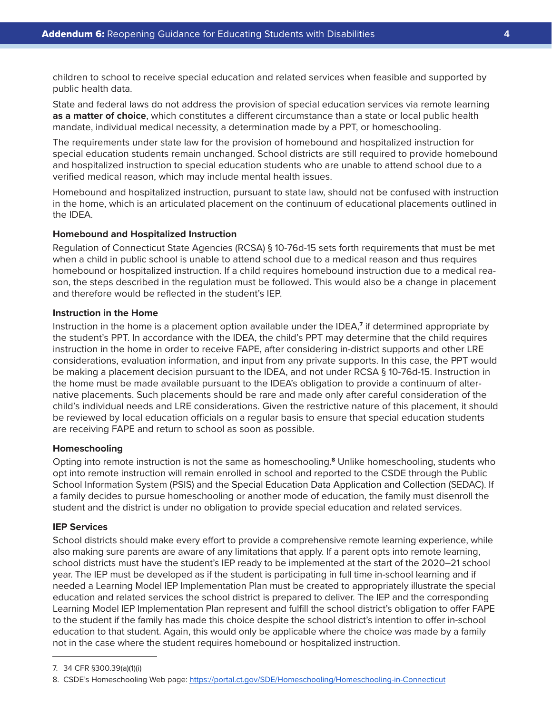children to school to receive special education and related services when feasible and supported by public health data.

State and federal laws do not address the provision of special education services via remote learning **as a matter of choice**, which constitutes a different circumstance than a state or local public health mandate, individual medical necessity, a determination made by a PPT, or homeschooling.

The requirements under state law for the provision of homebound and hospitalized instruction for special education students remain unchanged. School districts are still required to provide homebound and hospitalized instruction to special education students who are unable to attend school due to a verified medical reason, which may include mental health issues.

Homebound and hospitalized instruction, pursuant to state law, should not be confused with instruction in the home, which is an articulated placement on the continuum of educational placements outlined in the IDEA.

# **Homebound and Hospitalized Instruction**

Regulation of Connecticut State Agencies (RCSA) § 10-76d-15 sets forth requirements that must be met when a child in public school is unable to attend school due to a medical reason and thus requires homebound or hospitalized instruction. If a child requires homebound instruction due to a medical reason, the steps described in the regulation must be followed. This would also be a change in placement and therefore would be reflected in the student's IEP.

# **Instruction in the Home**

Instruction in the home is a placement option available under the IDEA,**<sup>7</sup>** if determined appropriate by the student's PPT. In accordance with the IDEA, the child's PPT may determine that the child requires instruction in the home in order to receive FAPE, after considering in-district supports and other LRE considerations, evaluation information, and input from any private supports. In this case, the PPT would be making a placement decision pursuant to the IDEA, and not under RCSA § 10-76d-15. Instruction in the home must be made available pursuant to the IDEA's obligation to provide a continuum of alternative placements. Such placements should be rare and made only after careful consideration of the child's individual needs and LRE considerations. Given the restrictive nature of this placement, it should be reviewed by local education officials on a regular basis to ensure that special education students are receiving FAPE and return to school as soon as possible.

#### **Homeschooling**

Opting into remote instruction is not the same as homeschooling.**8** Unlike homeschooling, students who opt into remote instruction will remain enrolled in school and reported to the CSDE through the Public School Information System (PSIS) and the Special Education Data Application and Collection (SEDAC). If a family decides to pursue homeschooling or another mode of education, the family must disenroll the student and the district is under no obligation to provide special education and related services.

#### **IEP Services**

School districts should make every effort to provide a comprehensive remote learning experience, while also making sure parents are aware of any limitations that apply. If a parent opts into remote learning, school districts must have the student's IEP ready to be implemented at the start of the 2020–21 school year. The IEP must be developed as if the student is participating in full time in-school learning and if needed a Learning Model IEP Implementation Plan must be created to appropriately illustrate the special education and related services the school district is prepared to deliver. The IEP and the corresponding Learning Model IEP Implementation Plan represent and fulfill the school district's obligation to offer FAPE to the student if the family has made this choice despite the school district's intention to offer in-school education to that student. Again, this would only be applicable where the choice was made by a family not in the case where the student requires homebound or hospitalized instruction.

<sup>7.</sup> 34 CFR §300.39(a)(1)(i)

<sup>8.</sup> CSDE's Homeschooling Web page:<https://portal.ct.gov/SDE/Homeschooling/Homeschooling-in-Connecticut>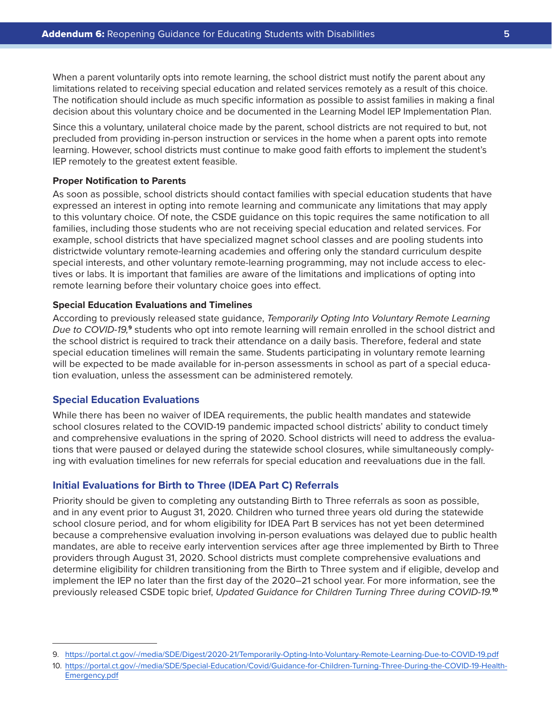When a parent voluntarily opts into remote learning, the school district must notify the parent about any limitations related to receiving special education and related services remotely as a result of this choice. The notification should include as much specific information as possible to assist families in making a final decision about this voluntary choice and be documented in the Learning Model IEP Implementation Plan.

Since this a voluntary, unilateral choice made by the parent, school districts are not required to but, not precluded from providing in-person instruction or services in the home when a parent opts into remote learning. However, school districts must continue to make good faith efforts to implement the student's IEP remotely to the greatest extent feasible.

#### **Proper Notification to Parents**

As soon as possible, school districts should contact families with special education students that have expressed an interest in opting into remote learning and communicate any limitations that may apply to this voluntary choice. Of note, the CSDE guidance on this topic requires the same notification to all families, including those students who are not receiving special education and related services. For example, school districts that have specialized magnet school classes and are pooling students into districtwide voluntary remote-learning academies and offering only the standard curriculum despite special interests, and other voluntary remote-learning programming, may not include access to electives or labs. It is important that families are aware of the limitations and implications of opting into remote learning before their voluntary choice goes into effect.

#### **Special Education Evaluations and Timelines**

According to previously released state guidance, *Temporarily Opting Into Voluntary Remote Learning Due to COVID-19,***9** students who opt into remote learning will remain enrolled in the school district and the school district is required to track their attendance on a daily basis. Therefore, federal and state special education timelines will remain the same. Students participating in voluntary remote learning will be expected to be made available for in-person assessments in school as part of a special education evaluation, unless the assessment can be administered remotely.

#### **Special Education Evaluations**

While there has been no waiver of IDEA requirements, the public health mandates and statewide school closures related to the COVID-19 pandemic impacted school districts' ability to conduct timely and comprehensive evaluations in the spring of 2020. School districts will need to address the evaluations that were paused or delayed during the statewide school closures, while simultaneously complying with evaluation timelines for new referrals for special education and reevaluations due in the fall.

# **Initial Evaluations for Birth to Three (IDEA Part C) Referrals**

Priority should be given to completing any outstanding Birth to Three referrals as soon as possible, and in any event prior to August 31, 2020. Children who turned three years old during the statewide school closure period, and for whom eligibility for IDEA Part B services has not yet been determined because a comprehensive evaluation involving in-person evaluations was delayed due to public health mandates, are able to receive early intervention services after age three implemented by Birth to Three providers through August 31, 2020. School districts must complete comprehensive evaluations and determine eligibility for children transitioning from the Birth to Three system and if eligible, develop and implement the IEP no later than the first day of the 2020–21 school year. For more information, see the previously released CSDE topic brief, *Updated Guidance for Children Turning Three during COVID-19.***<sup>10</sup>**

<sup>9.</sup> <https://portal.ct.gov/-/media/SDE/Digest/2020-21/Temporarily-Opting-Into-Voluntary-Remote-Learning-Due-to-COVID-19.pdf>

<sup>10.</sup> [https://portal.ct.gov/-/media/SDE/Special-Education/Covid/Guidance-for-Children-Turning-Three-During-the-COVID-19-Health-](https://portal.ct.gov/-/media/SDE/Special-Education/Covid/Guidance-for-Children-Turning-Three-During-the-COVID-19-Health-Emergency.pdf)[Emergency.pdf](https://portal.ct.gov/-/media/SDE/Special-Education/Covid/Guidance-for-Children-Turning-Three-During-the-COVID-19-Health-Emergency.pdf)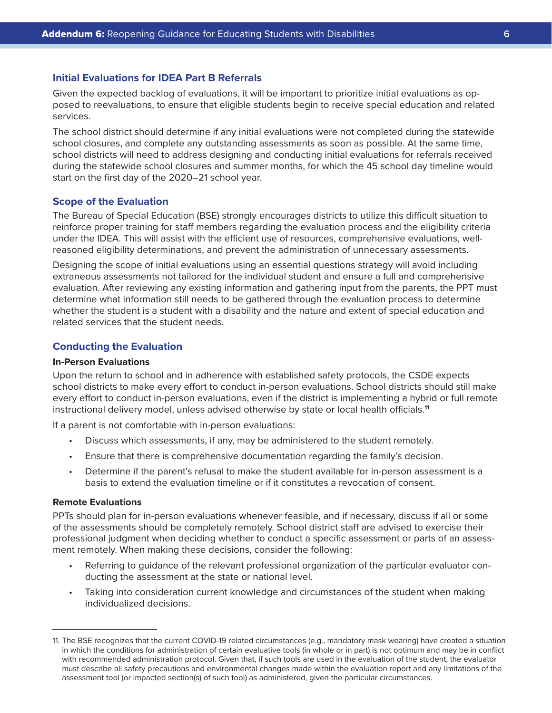# **Initial Evaluations for IDEA Part B Referrals**

Given the expected backlog of evaluations, it will be important to prioritize initial evaluations as opposed to reevaluations, to ensure that eligible students begin to receive special education and related services.

The school district should determine if any initial evaluations were not completed during the statewide school closures, and complete any outstanding assessments as soon as possible. At the same time, school districts will need to address designing and conducting initial evaluations for referrals received during the statewide school closures and summer months, for which the 45 school day timeline would start on the first day of the 2020–21 school year.

#### **Scope of the Evaluation**

The Bureau of Special Education (BSE) strongly encourages districts to utilize this difficult situation to reinforce proper training for staff members regarding the evaluation process and the eligibility criteria under the IDEA. This will assist with the efficient use of resources, comprehensive evaluations, wellreasoned eligibility determinations, and prevent the administration of unnecessary assessments.

Designing the scope of initial evaluations using an essential questions strategy will avoid including extraneous assessments not tailored for the individual student and ensure a full and comprehensive evaluation. After reviewing any existing information and gathering input from the parents, the PPT must determine what information still needs to be gathered through the evaluation process to determine whether the student is a student with a disability and the nature and extent of special education and related services that the student needs.

# **Conducting the Evaluation**

# **In-Person Evaluations**

Upon the return to school and in adherence with established safety protocols, the CSDE expects school districts to make every effort to conduct in-person evaluations. School districts should still make every effort to conduct in-person evaluations, even if the district is implementing a hybrid or full remote instructional delivery model, unless advised otherwise by state or local health officials.**<sup>11</sup>**

If a parent is not comfortable with in-person evaluations:

- Discuss which assessments, if any, may be administered to the student remotely.
- Ensure that there is comprehensive documentation regarding the family's decision.
- Determine if the parent's refusal to make the student available for in-person assessment is a basis to extend the evaluation timeline or if it constitutes a revocation of consent.

#### **Remote Evaluations**

PPTs should plan for in-person evaluations whenever feasible, and if necessary, discuss if all or some of the assessments should be completely remotely. School district staff are advised to exercise their professional judgment when deciding whether to conduct a specific assessment or parts of an assessment remotely. When making these decisions, consider the following:

- Referring to guidance of the relevant professional organization of the particular evaluator conducting the assessment at the state or national level.
- Taking into consideration current knowledge and circumstances of the student when making individualized decisions.

<sup>11.</sup> The BSE recognizes that the current COVID-19 related circumstances (e.g., mandatory mask wearing) have created a situation in which the conditions for administration of certain evaluative tools (in whole or in part) is not optimum and may be in conflict with recommended administration protocol. Given that, if such tools are used in the evaluation of the student, the evaluator must describe all safety precautions and environmental changes made within the evaluation report and any limitations of the assessment tool (or impacted section(s) of such tool) as administered, given the particular circumstances.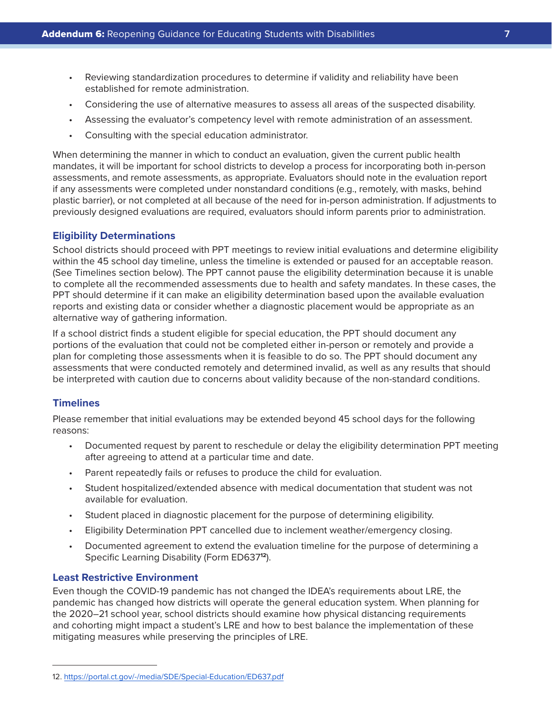- Reviewing standardization procedures to determine if validity and reliability have been established for remote administration.
- Considering the use of alternative measures to assess all areas of the suspected disability.
- Assessing the evaluator's competency level with remote administration of an assessment.
- Consulting with the special education administrator.

When determining the manner in which to conduct an evaluation, given the current public health mandates, it will be important for school districts to develop a process for incorporating both in-person assessments, and remote assessments, as appropriate. Evaluators should note in the evaluation report if any assessments were completed under nonstandard conditions (e.g., remotely, with masks, behind plastic barrier), or not completed at all because of the need for in-person administration. If adjustments to previously designed evaluations are required, evaluators should inform parents prior to administration.

### **Eligibility Determinations**

School districts should proceed with PPT meetings to review initial evaluations and determine eligibility within the 45 school day timeline, unless the timeline is extended or paused for an acceptable reason. (See Timelines section below). The PPT cannot pause the eligibility determination because it is unable to complete all the recommended assessments due to health and safety mandates. In these cases, the PPT should determine if it can make an eligibility determination based upon the available evaluation reports and existing data or consider whether a diagnostic placement would be appropriate as an alternative way of gathering information.

If a school district finds a student eligible for special education, the PPT should document any portions of the evaluation that could not be completed either in-person or remotely and provide a plan for completing those assessments when it is feasible to do so. The PPT should document any assessments that were conducted remotely and determined invalid, as well as any results that should be interpreted with caution due to concerns about validity because of the non-standard conditions.

# **Timelines**

Please remember that initial evaluations may be extended beyond 45 school days for the following reasons:

- Documented request by parent to reschedule or delay the eligibility determination PPT meeting after agreeing to attend at a particular time and date.
- Parent repeatedly fails or refuses to produce the child for evaluation.
- Student hospitalized/extended absence with medical documentation that student was not available for evaluation.
- Student placed in diagnostic placement for the purpose of determining eligibility.
- Eligibility Determination PPT cancelled due to inclement weather/emergency closing.
- Documented agreement to extend the evaluation timeline for the purpose of determining a Specific Learning Disability (Form ED637**12**).

# **Least Restrictive Environment**

Even though the COVID-19 pandemic has not changed the IDEA's requirements about LRE, the pandemic has changed how districts will operate the general education system. When planning for the 2020–21 school year, school districts should examine how physical distancing requirements and cohorting might impact a student's LRE and how to best balance the implementation of these mitigating measures while preserving the principles of LRE.

<sup>12.</sup><https://portal.ct.gov/-/media/SDE/Special-Education/ED637.pdf>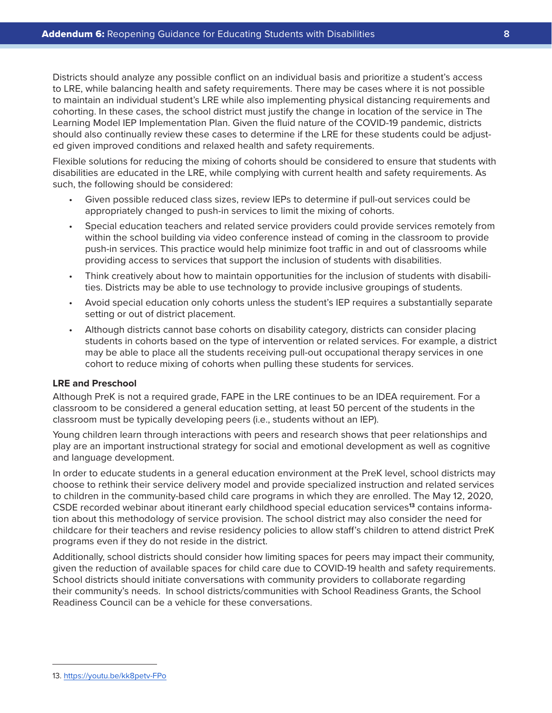Districts should analyze any possible conflict on an individual basis and prioritize a student's access to LRE, while balancing health and safety requirements. There may be cases where it is not possible to maintain an individual student's LRE while also implementing physical distancing requirements and cohorting. In these cases, the school district must justify the change in location of the service in The Learning Model IEP Implementation Plan. Given the fluid nature of the COVID-19 pandemic, districts should also continually review these cases to determine if the LRE for these students could be adjusted given improved conditions and relaxed health and safety requirements.

Flexible solutions for reducing the mixing of cohorts should be considered to ensure that students with disabilities are educated in the LRE, while complying with current health and safety requirements. As such, the following should be considered:

- Given possible reduced class sizes, review IEPs to determine if pull-out services could be appropriately changed to push-in services to limit the mixing of cohorts.
- Special education teachers and related service providers could provide services remotely from within the school building via video conference instead of coming in the classroom to provide push-in services. This practice would help minimize foot traffic in and out of classrooms while providing access to services that support the inclusion of students with disabilities.
- Think creatively about how to maintain opportunities for the inclusion of students with disabilities. Districts may be able to use technology to provide inclusive groupings of students.
- Avoid special education only cohorts unless the student's IEP requires a substantially separate setting or out of district placement.
- Although districts cannot base cohorts on disability category, districts can consider placing students in cohorts based on the type of intervention or related services. For example, a district may be able to place all the students receiving pull-out occupational therapy services in one cohort to reduce mixing of cohorts when pulling these students for services.

#### **LRE and Preschool**

Although PreK is not a required grade, FAPE in the LRE continues to be an IDEA requirement. For a classroom to be considered a general education setting, at least 50 percent of the students in the classroom must be typically developing peers (i.e., students without an IEP).

Young children learn through interactions with peers and research shows that peer relationships and play are an important instructional strategy for social and emotional development as well as cognitive and language development.

In order to educate students in a general education environment at the PreK level, school districts may choose to rethink their service delivery model and provide specialized instruction and related services to children in the community-based child care programs in which they are enrolled. The May 12, 2020, CSDE recorded webinar about itinerant early childhood special education services**13** contains information about this methodology of service provision. The school district may also consider the need for childcare for their teachers and revise residency policies to allow staff's children to attend district PreK programs even if they do not reside in the district.

Additionally, school districts should consider how limiting spaces for peers may impact their community, given the reduction of available spaces for child care due to COVID-19 health and safety requirements. School districts should initiate conversations with community providers to collaborate regarding their community's needs. In school districts/communities with School Readiness Grants, the School Readiness Council can be a vehicle for these conversations.

<sup>13.</sup> <https://youtu.be/kk8petv-FPo>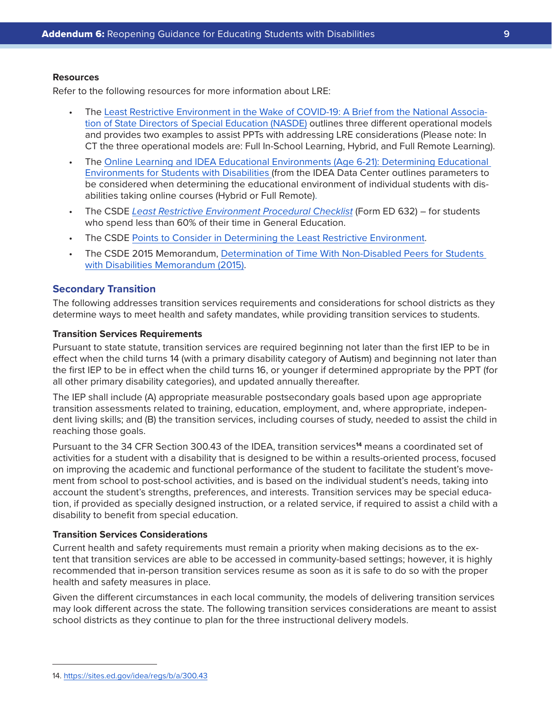#### **Resources**

Refer to the following resources for more information about LRE:

- The [Least Restrictive Environment in the Wake of COVID-19: A Brief from the National Associa](https://www.nasdse.org/docs/NASDSE_LRE.pdf)[tion of State Directors of Special Education \(NASDE\)](https://www.nasdse.org/docs/NASDSE_LRE.pdf) outlines three different operational models and provides two examples to assist PPTs with addressing LRE considerations (Please note: In CT the three operational models are: Full In-School Learning, Hybrid, and Full Remote Learning).
- The [Online Learning and IDEA Educational Environments \(Age 6-21\): Determining Educational](https://ideadata.org/sites/default/files/media/documents/2020-07/Ed_Environments_White_Paper.pdf)  [Environments for Students with Disabilities](https://ideadata.org/sites/default/files/media/documents/2020-07/Ed_Environments_White_Paper.pdf) (from the IDEA Data Center outlines parameters to be considered when determining the educational environment of individual students with disabilities taking online courses (Hybrid or Full Remote).
- The CSDE *[Least Restrictive Environment Procedural Checklist](https://portal.ct.gov/-/media/SDE/Special-Education/ED632_Word.doc)* (Form ED 632) for students who spend less than 60% of their time in General Education.
- The CSDE [Points to Consider in Determining the Least Restrictive Environment](https://portal.ct.gov/-/media/SDE/Special-Education/LRE_Points_to_Consider.doc).
- The CSDE 2015 Memorandum, [Determination of Time With Non-Disabled Peers for Students](https://portal.ct.gov/-/media/SDE/Special-Education/Determination_of_Time_with_Non_Disabled_Peers_for_SWD.pdf)  [with Disabilities Memorandum \(2015\).](https://portal.ct.gov/-/media/SDE/Special-Education/Determination_of_Time_with_Non_Disabled_Peers_for_SWD.pdf)

## **Secondary Transition**

The following addresses transition services requirements and considerations for school districts as they determine ways to meet health and safety mandates, while providing transition services to students.

# **Transition Services Requirements**

Pursuant to state statute, transition services are required beginning not later than the first IEP to be in effect when the child turns 14 (with a primary disability category of Autism) and beginning not later than the first IEP to be in effect when the child turns 16, or younger if determined appropriate by the PPT (for all other primary disability categories), and updated annually thereafter.

The IEP shall include (A) appropriate measurable postsecondary goals based upon age appropriate transition assessments related to training, education, employment, and, where appropriate, independent living skills; and (B) the transition services, including courses of study, needed to assist the child in reaching those goals.

Pursuant to the 34 CFR Section 300.43 of the IDEA, transition services**14** means a coordinated set of activities for a student with a disability that is designed to be within a results-oriented process, focused on improving the academic and functional performance of the student to facilitate the student's movement from school to post-school activities, and is based on the individual student's needs, taking into account the student's strengths, preferences, and interests. Transition services may be special education, if provided as specially designed instruction, or a related service, if required to assist a child with a disability to benefit from special education.

#### **Transition Services Considerations**

Current health and safety requirements must remain a priority when making decisions as to the extent that transition services are able to be accessed in community-based settings; however, it is highly recommended that in-person transition services resume as soon as it is safe to do so with the proper health and safety measures in place.

Given the different circumstances in each local community, the models of delivering transition services may look different across the state. The following transition services considerations are meant to assist school districts as they continue to plan for the three instructional delivery models.

<sup>14.</sup> <https://sites.ed.gov/idea/regs/b/a/300.43>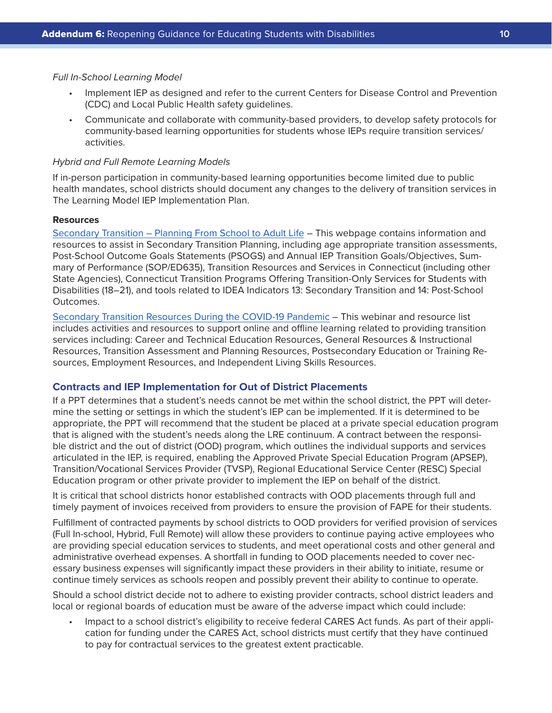#### *Full In-School Learning Model*

- Implement IEP as designed and refer to the current Centers for Disease Control and Prevention (CDC) and Local Public Health safety guidelines.
- Communicate and collaborate with community-based providers, to develop safety protocols for community-based learning opportunities for students whose IEPs require transition services/ activities.

#### *Hybrid and Full Remote Learning Models*

If in-person participation in community-based learning opportunities become limited due to public health mandates, school districts should document any changes to the delivery of transition services in The Learning Model IEP Implementation Plan.

# **Resources**

[Secondary Transition – Planning From School to Adult Life](https://portal.ct.gov/SDE/Special-Education/Secondary-Transition) – This webpage contains information and resources to assist in Secondary Transition Planning, including age appropriate transition assessments, Post-School Outcome Goals Statements (PSOGS) and Annual IEP Transition Goals/Objectives, Summary of Performance (SOP/ED635), Transition Resources and Services in Connecticut (including other State Agencies), Connecticut Transition Programs Offering Transition-Only Services for Students with Disabilities (18–21), and tools related to IDEA Indicators 13: Secondary Transition and 14: Post-School Outcomes.

[Secondary Transition Resources During the COVID-19 Pandemic](https://portal.ct.gov/SDE/COVID19/Professional-Support-Series-for-Districts/Guidance-on-Special-Education/Secondary-Transition-Resources-During-the-COVID-19-Pandemic) – This webinar and resource list includes activities and resources to support online and offline learning related to providing transition services including: Career and Technical Education Resources, General Resources & Instructional Resources, Transition Assessment and Planning Resources, Postsecondary Education or Training Resources, Employment Resources, and Independent Living Skills Resources.

# **Contracts and IEP Implementation for Out of District Placements**

If a PPT determines that a student's needs cannot be met within the school district, the PPT will determine the setting or settings in which the student's IEP can be implemented. If it is determined to be appropriate, the PPT will recommend that the student be placed at a private special education program that is aligned with the student's needs along the LRE continuum. A contract between the responsible district and the out of district (OOD) program, which outlines the individual supports and services articulated in the IEP, is required, enabling the Approved Private Special Education Program (APSEP), Transition/Vocational Services Provider (TVSP), Regional Educational Service Center (RESC) Special Education program or other private provider to implement the IEP on behalf of the district.

It is critical that school districts honor established contracts with OOD placements through full and timely payment of invoices received from providers to ensure the provision of FAPE for their students.

Fulfillment of contracted payments by school districts to OOD providers for verified provision of services (Full In-school, Hybrid, Full Remote) will allow these providers to continue paying active employees who are providing special education services to students, and meet operational costs and other general and administrative overhead expenses. A shortfall in funding to OOD placements needed to cover necessary business expenses will significantly impact these providers in their ability to initiate, resume or continue timely services as schools reopen and possibly prevent their ability to continue to operate.

Should a school district decide not to adhere to existing provider contracts, school district leaders and local or regional boards of education must be aware of the adverse impact which could include:

• Impact to a school district's eligibility to receive federal CARES Act funds. As part of their application for funding under the CARES Act, school districts must certify that they have continued to pay for contractual services to the greatest extent practicable.